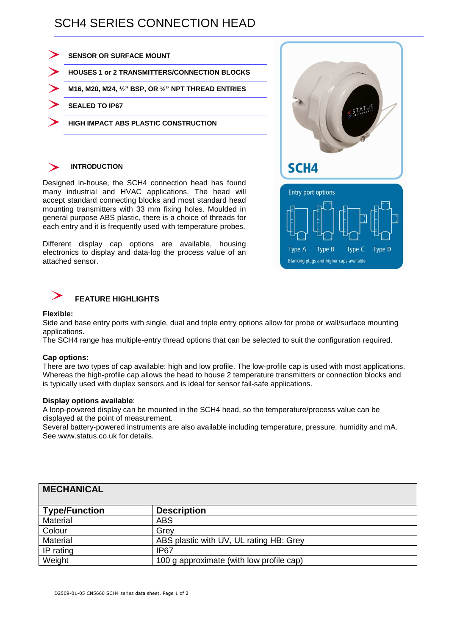## SCH4 SERIES CONNECTION HEAD



### **INTRODUCTION**

Designed in-house, the SCH4 connection head has found many industrial and HVAC applications. The head will accept standard connecting blocks and most standard head mounting transmitters with 33 mm fixing holes. Moulded in general purpose ABS plastic, there is a choice of threads for each entry and it is frequently used with temperature probes.

Different display cap options are available, housing electronics to display and data-log the process value of an attached sensor.



### **FEATURE HIGHLIGHTS**

#### **Flexible:**

Side and base entry ports with single, dual and triple entry options allow for probe or wall/surface mounting applications.

The SCH4 range has multiple-entry thread options that can be selected to suit the configuration required.

#### **Cap options:**

There are two types of cap available: high and low profile. The low-profile cap is used with most applications. Whereas the high-profile cap allows the head to house 2 temperature transmitters or connection blocks and is typically used with duplex sensors and is ideal for sensor fail-safe applications.

#### **Display options available**:

A loop-powered display can be mounted in the SCH4 head, so the temperature/process value can be displayed at the point of measurement.

Several battery-powered instruments are also available including temperature, pressure, humidity and mA. See www.status.co.uk for details.

| <b>MECHANICAL</b>    |                                          |
|----------------------|------------------------------------------|
| <b>Type/Function</b> | <b>Description</b>                       |
| Material             | <b>ABS</b>                               |
| Colour               | Grev                                     |
| Material             | ABS plastic with UV, UL rating HB: Grey  |
| IP rating            | IP67                                     |
| Weight               | 100 g approximate (with low profile cap) |